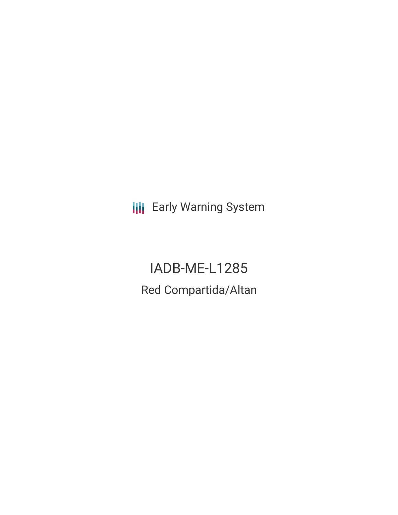**III** Early Warning System

IADB-ME-L1285 Red Compartida/Altan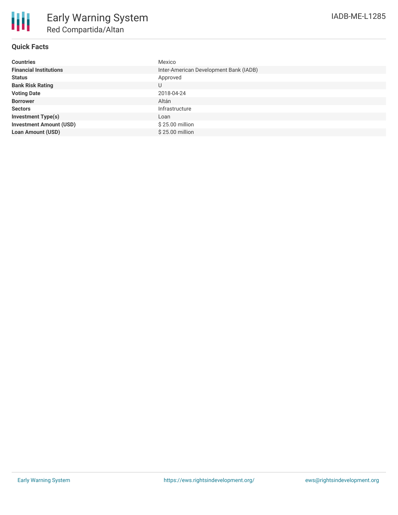| <b>Countries</b>               | Mexico                                 |
|--------------------------------|----------------------------------------|
| <b>Financial Institutions</b>  | Inter-American Development Bank (IADB) |
| <b>Status</b>                  | Approved                               |
| <b>Bank Risk Rating</b>        | U                                      |
| <b>Voting Date</b>             | 2018-04-24                             |
| <b>Borrower</b>                | Altán                                  |
| <b>Sectors</b>                 | Infrastructure                         |
| <b>Investment Type(s)</b>      | Loan                                   |
| <b>Investment Amount (USD)</b> | \$25.00 million                        |
| <b>Loan Amount (USD)</b>       | \$25.00 million                        |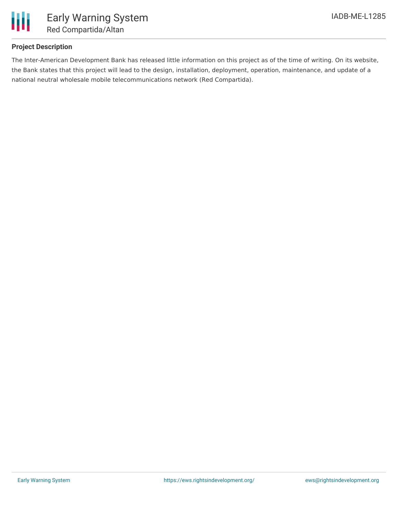

## **Project Description**

The Inter-American Development Bank has released little information on this project as of the time of writing. On its website, the Bank states that this project will lead to the design, installation, deployment, operation, maintenance, and update of a national neutral wholesale mobile telecommunications network (Red Compartida).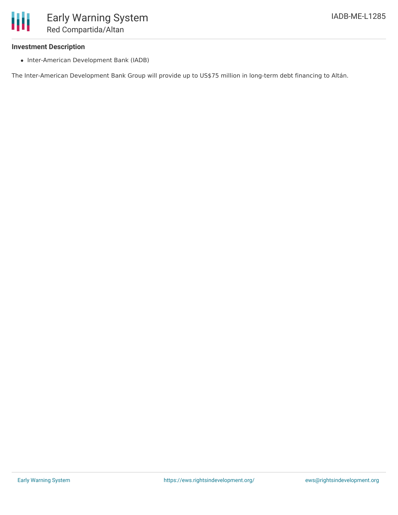Red Compartida/Altan

## **Investment Description**

Ш

• Inter-American Development Bank (IADB)

The Inter-American Development Bank Group will provide up to US\$75 million in long-term debt financing to Altán.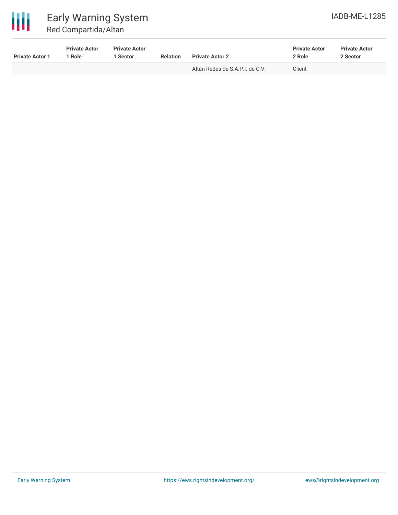

| <b>Private Actor 1</b>   | <b>Private Actor</b><br>* Role | <b>Private Actor</b><br>Sector | <b>Relation</b>          | <b>Private Actor 2</b>          | <b>Private Actor</b><br>2 Role | <b>Private Actor</b><br>2 Sector |  |
|--------------------------|--------------------------------|--------------------------------|--------------------------|---------------------------------|--------------------------------|----------------------------------|--|
| $\overline{\phantom{0}}$ |                                | $\overline{\phantom{a}}$       | $\overline{\phantom{0}}$ | Altán Redes de S.A.P.I. de C.V. | Client                         | $\overline{\phantom{0}}$         |  |